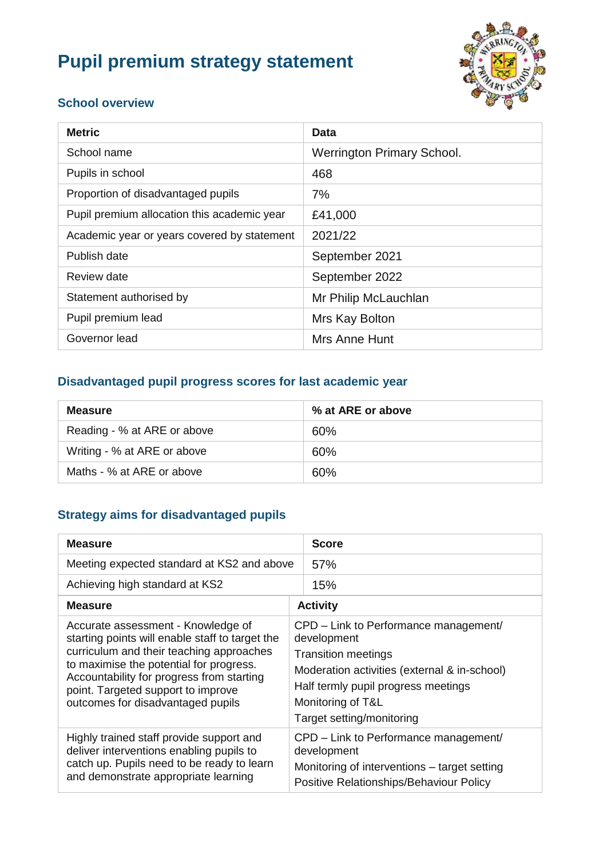# **Pupil premium strategy statement**



#### **School overview**

| <b>Metric</b>                               | Data                              |
|---------------------------------------------|-----------------------------------|
| School name                                 | <b>Werrington Primary School.</b> |
| Pupils in school                            | 468                               |
| Proportion of disadvantaged pupils          | 7%                                |
| Pupil premium allocation this academic year | £41,000                           |
| Academic year or years covered by statement | 2021/22                           |
| Publish date                                | September 2021                    |
| Review date                                 | September 2022                    |
| Statement authorised by                     | Mr Philip McLauchlan              |
| Pupil premium lead                          | Mrs Kay Bolton                    |
| Governor lead                               | Mrs Anne Hunt                     |

#### **Disadvantaged pupil progress scores for last academic year**

| <b>Measure</b>              | % at ARE or above |
|-----------------------------|-------------------|
| Reading - % at ARE or above | 60%               |
| Writing - % at ARE or above | 60%               |
| Maths - % at ARE or above   | 60%               |

#### **Strategy aims for disadvantaged pupils**

| <b>Measure</b>                                                                                                                                                                                                                                                                                       | <b>Score</b>                                                                                                                                                                                                                |  |
|------------------------------------------------------------------------------------------------------------------------------------------------------------------------------------------------------------------------------------------------------------------------------------------------------|-----------------------------------------------------------------------------------------------------------------------------------------------------------------------------------------------------------------------------|--|
| Meeting expected standard at KS2 and above                                                                                                                                                                                                                                                           | 57%                                                                                                                                                                                                                         |  |
| Achieving high standard at KS2                                                                                                                                                                                                                                                                       | 15%                                                                                                                                                                                                                         |  |
| <b>Measure</b>                                                                                                                                                                                                                                                                                       | <b>Activity</b>                                                                                                                                                                                                             |  |
| Accurate assessment - Knowledge of<br>starting points will enable staff to target the<br>curriculum and their teaching approaches<br>to maximise the potential for progress.<br>Accountability for progress from starting<br>point. Targeted support to improve<br>outcomes for disadvantaged pupils | CPD – Link to Performance management/<br>development<br><b>Transition meetings</b><br>Moderation activities (external & in-school)<br>Half termly pupil progress meetings<br>Monitoring of T&L<br>Target setting/monitoring |  |
| Highly trained staff provide support and<br>deliver interventions enabling pupils to<br>catch up. Pupils need to be ready to learn<br>and demonstrate appropriate learning                                                                                                                           | CPD – Link to Performance management/<br>development<br>Monitoring of interventions – target setting<br>Positive Relationships/Behaviour Policy                                                                             |  |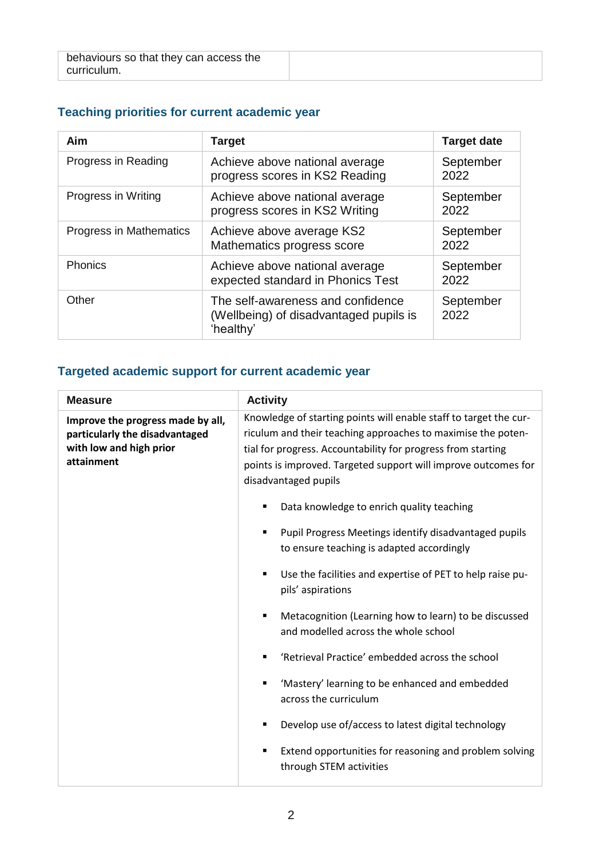| behaviours so that they can access the |  |
|----------------------------------------|--|
| curriculum.                            |  |

# **Teaching priorities for current academic year**

| Aim                     | <b>Target</b>                                                                            | <b>Target date</b> |
|-------------------------|------------------------------------------------------------------------------------------|--------------------|
| Progress in Reading     | Achieve above national average<br>progress scores in KS2 Reading                         | September<br>2022  |
| Progress in Writing     | Achieve above national average<br>progress scores in KS2 Writing                         | September<br>2022  |
| Progress in Mathematics | Achieve above average KS2<br>Mathematics progress score                                  | September<br>2022  |
| Phonics                 | Achieve above national average<br>expected standard in Phonics Test                      | September<br>2022  |
| Other                   | The self-awareness and confidence<br>(Wellbeing) of disadvantaged pupils is<br>'healthy' | September<br>2022  |

#### **Targeted academic support for current academic year**

| <b>Measure</b>                                                                                               | <b>Activity</b>                                                                                                                                                                                                                                                                             |  |
|--------------------------------------------------------------------------------------------------------------|---------------------------------------------------------------------------------------------------------------------------------------------------------------------------------------------------------------------------------------------------------------------------------------------|--|
| Improve the progress made by all,<br>particularly the disadvantaged<br>with low and high prior<br>attainment | Knowledge of starting points will enable staff to target the cur-<br>riculum and their teaching approaches to maximise the poten-<br>tial for progress. Accountability for progress from starting<br>points is improved. Targeted support will improve outcomes for<br>disadvantaged pupils |  |
|                                                                                                              | Data knowledge to enrich quality teaching                                                                                                                                                                                                                                                   |  |
|                                                                                                              | Pupil Progress Meetings identify disadvantaged pupils<br>to ensure teaching is adapted accordingly                                                                                                                                                                                          |  |
|                                                                                                              | Use the facilities and expertise of PET to help raise pu-<br>pils' aspirations                                                                                                                                                                                                              |  |
|                                                                                                              | Metacognition (Learning how to learn) to be discussed<br>and modelled across the whole school                                                                                                                                                                                               |  |
|                                                                                                              | 'Retrieval Practice' embedded across the school                                                                                                                                                                                                                                             |  |
|                                                                                                              | 'Mastery' learning to be enhanced and embedded<br>across the curriculum                                                                                                                                                                                                                     |  |
|                                                                                                              | Develop use of/access to latest digital technology                                                                                                                                                                                                                                          |  |
|                                                                                                              | Extend opportunities for reasoning and problem solving<br>through STEM activities                                                                                                                                                                                                           |  |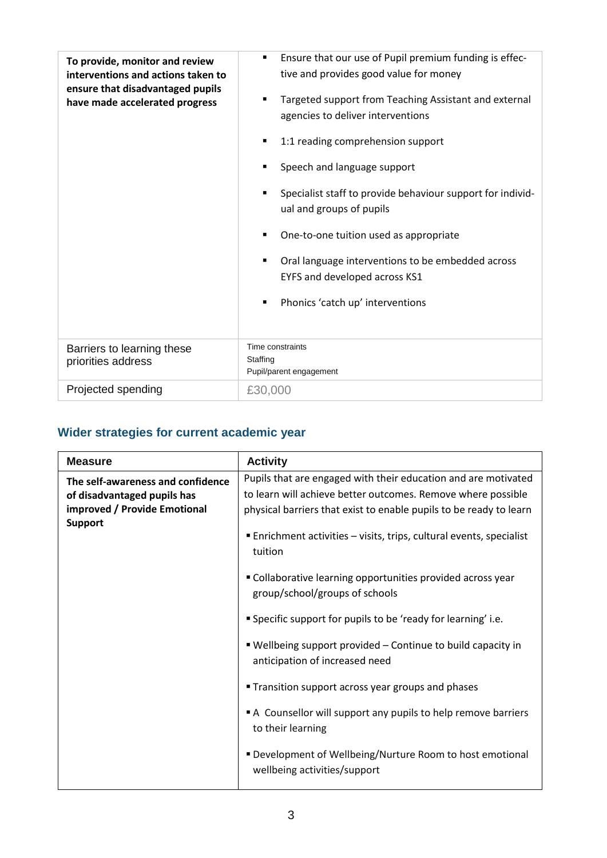| To provide, monitor and review<br>interventions and actions taken to<br>ensure that disadvantaged pupils | Ensure that our use of Pupil premium funding is effec-<br>٠<br>tive and provides good value for money |
|----------------------------------------------------------------------------------------------------------|-------------------------------------------------------------------------------------------------------|
| have made accelerated progress                                                                           | Targeted support from Teaching Assistant and external<br>agencies to deliver interventions            |
|                                                                                                          | 1:1 reading comprehension support                                                                     |
|                                                                                                          | Speech and language support                                                                           |
|                                                                                                          | Specialist staff to provide behaviour support for individ-<br>ual and groups of pupils                |
|                                                                                                          | One-to-one tuition used as appropriate                                                                |
|                                                                                                          | Oral language interventions to be embedded across<br>EYFS and developed across KS1                    |
|                                                                                                          | Phonics 'catch up' interventions                                                                      |
| Barriers to learning these<br>priorities address                                                         | Time constraints<br>Staffing<br>Pupil/parent engagement                                               |
| Projected spending                                                                                       | £30,000                                                                                               |

# **Wider strategies for current academic year**

| <b>Measure</b>                                                                                                     | <b>Activity</b>                                                                                                                                                                                                                                                                         |
|--------------------------------------------------------------------------------------------------------------------|-----------------------------------------------------------------------------------------------------------------------------------------------------------------------------------------------------------------------------------------------------------------------------------------|
| The self-awareness and confidence<br>of disadvantaged pupils has<br>improved / Provide Emotional<br><b>Support</b> | Pupils that are engaged with their education and are motivated<br>to learn will achieve better outcomes. Remove where possible<br>physical barriers that exist to enable pupils to be ready to learn<br>■ Enrichment activities – visits, trips, cultural events, specialist<br>tuition |
|                                                                                                                    | " Collaborative learning opportunities provided across year<br>group/school/groups of schools                                                                                                                                                                                           |
|                                                                                                                    | " Specific support for pupils to be 'ready for learning' i.e.                                                                                                                                                                                                                           |
|                                                                                                                    | " Wellbeing support provided - Continue to build capacity in<br>anticipation of increased need                                                                                                                                                                                          |
|                                                                                                                    | <b>Transition support across year groups and phases</b>                                                                                                                                                                                                                                 |
|                                                                                                                    | A Counsellor will support any pupils to help remove barriers<br>to their learning                                                                                                                                                                                                       |
|                                                                                                                    | ■ Development of Wellbeing/Nurture Room to host emotional<br>wellbeing activities/support                                                                                                                                                                                               |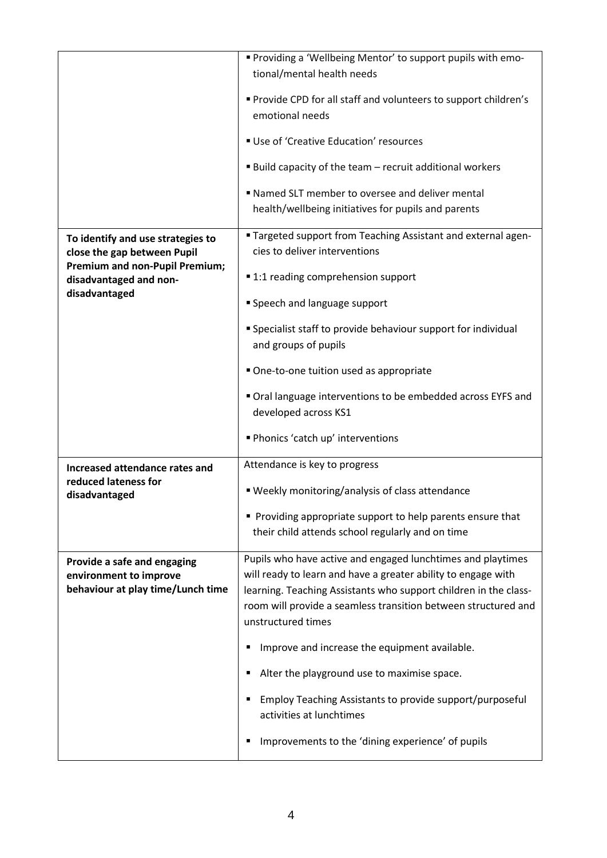|                                                                                            | " Providing a 'Wellbeing Mentor' to support pupils with emo-                                                                                                                                                                                                                             |
|--------------------------------------------------------------------------------------------|------------------------------------------------------------------------------------------------------------------------------------------------------------------------------------------------------------------------------------------------------------------------------------------|
|                                                                                            | tional/mental health needs                                                                                                                                                                                                                                                               |
|                                                                                            | " Provide CPD for all staff and volunteers to support children's                                                                                                                                                                                                                         |
|                                                                                            | emotional needs                                                                                                                                                                                                                                                                          |
|                                                                                            | Use of 'Creative Education' resources                                                                                                                                                                                                                                                    |
|                                                                                            | ■ Build capacity of the team – recruit additional workers                                                                                                                                                                                                                                |
|                                                                                            | " Named SLT member to oversee and deliver mental                                                                                                                                                                                                                                         |
|                                                                                            | health/wellbeing initiatives for pupils and parents                                                                                                                                                                                                                                      |
| To identify and use strategies to<br>close the gap between Pupil                           | " Targeted support from Teaching Assistant and external agen-<br>cies to deliver interventions                                                                                                                                                                                           |
| <b>Premium and non-Pupil Premium;</b><br>disadvantaged and non-                            | ■ 1:1 reading comprehension support                                                                                                                                                                                                                                                      |
| disadvantaged                                                                              | Speech and language support                                                                                                                                                                                                                                                              |
|                                                                                            | " Specialist staff to provide behaviour support for individual                                                                                                                                                                                                                           |
|                                                                                            | and groups of pupils                                                                                                                                                                                                                                                                     |
|                                                                                            | One-to-one tuition used as appropriate                                                                                                                                                                                                                                                   |
|                                                                                            | Oral language interventions to be embedded across EYFS and<br>developed across KS1                                                                                                                                                                                                       |
|                                                                                            | Phonics 'catch up' interventions                                                                                                                                                                                                                                                         |
| Increased attendance rates and                                                             | Attendance is key to progress                                                                                                                                                                                                                                                            |
| reduced lateness for<br>disadvantaged                                                      | ■ Weekly monitoring/analysis of class attendance                                                                                                                                                                                                                                         |
|                                                                                            | Providing appropriate support to help parents ensure that<br>their child attends school regularly and on time                                                                                                                                                                            |
| Provide a safe and engaging<br>environment to improve<br>behaviour at play time/Lunch time | Pupils who have active and engaged lunchtimes and playtimes<br>will ready to learn and have a greater ability to engage with<br>learning. Teaching Assistants who support children in the class-<br>room will provide a seamless transition between structured and<br>unstructured times |
|                                                                                            | Improve and increase the equipment available.<br>٠                                                                                                                                                                                                                                       |
|                                                                                            | Alter the playground use to maximise space.<br>٠                                                                                                                                                                                                                                         |
|                                                                                            | Employ Teaching Assistants to provide support/purposeful<br>٠<br>activities at lunchtimes                                                                                                                                                                                                |
|                                                                                            | Improvements to the 'dining experience' of pupils<br>п                                                                                                                                                                                                                                   |